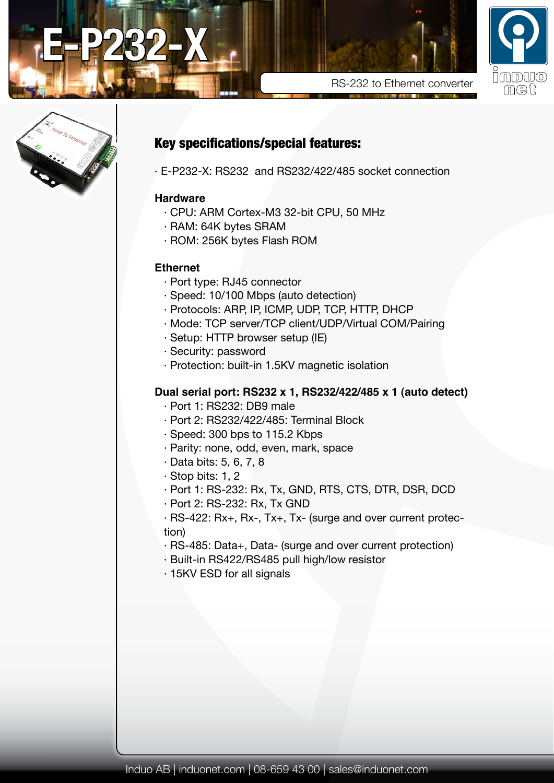





**E-P232-X**

# Key specifications/special features:

· E-P232-X: RS232 and RS232/422/485 socket connection

#### **Hardware**

- · CPU: ARM Cortex-M3 32-bit CPU, 50 MHz
- · RAM: 64K bytes SRAM
- · ROM: 256K bytes Flash ROM

### **Ethernet**

- · Port type: RJ45 connector
- · Speed: 10/100 Mbps (auto detection)
- · Protocols: ARP, IP, ICMP, UDP, TCP, HTTP, DHCP
- · Mode: TCP server/TCP client/UDP/Virtual COM/Pairing
- · Setup: HTTP browser setup (IE)
- · Security: password
- · Protection: built-in 1.5KV magnetic isolation

## **Dual serial port: RS232 x 1, RS232/422/485 x 1 (auto detect)**

- · Port 1: RS232: DB9 male
- · Port 2: RS232/422/485: Terminal Block
- · Speed: 300 bps to 115.2 Kbps
- · Parity: none, odd, even, mark, space
- · Data bits: 5, 6, 7, 8
- · Stop bits: 1, 2
- · Port 1: RS-232: Rx, Tx, GND, RTS, CTS, DTR, DSR, DCD
- · Port 2: RS-232: Rx, Tx GND
- · RS-422: Rx+, Rx-, Tx+, Tx- (surge and over current protection)
- · RS-485: Data+, Data- (surge and over current protection)
- · Built-in RS422/RS485 pull high/low resistor
- · 15KV ESD for all signals